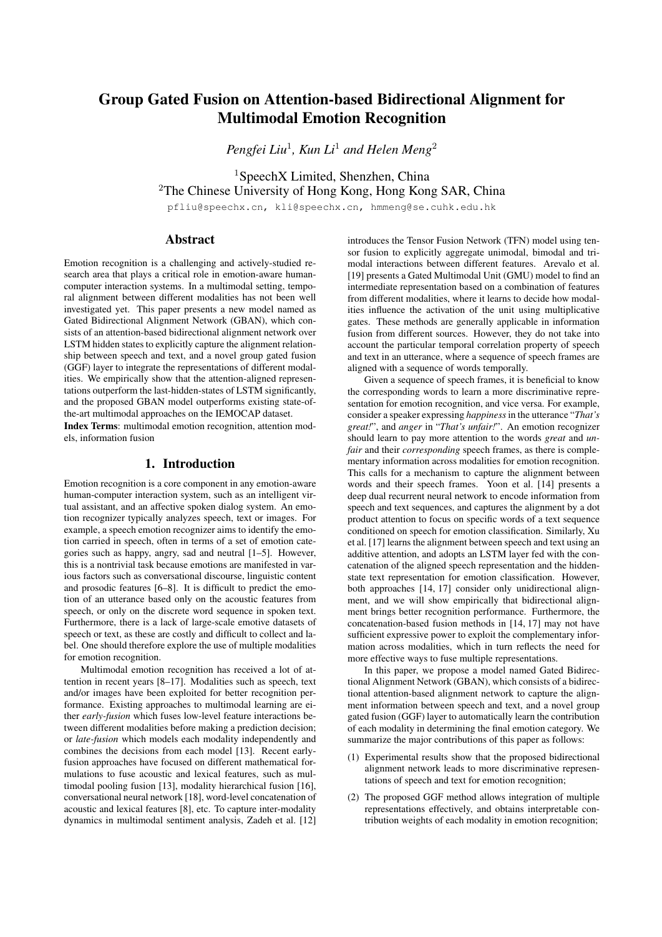# Group Gated Fusion on Attention-based Bidirectional Alignment for Multimodal Emotion Recognition

*Pengfei Liu*<sup>1</sup> *, Kun Li*<sup>1</sup> *and Helen Meng*<sup>2</sup>

<sup>1</sup>SpeechX Limited, Shenzhen, China <sup>2</sup>The Chinese University of Hong Kong, Hong Kong SAR, China

pfliu@speechx.cn, kli@speechx.cn, hmmeng@se.cuhk.edu.hk

# Abstract

Emotion recognition is a challenging and actively-studied research area that plays a critical role in emotion-aware humancomputer interaction systems. In a multimodal setting, temporal alignment between different modalities has not been well investigated yet. This paper presents a new model named as Gated Bidirectional Alignment Network (GBAN), which consists of an attention-based bidirectional alignment network over LSTM hidden states to explicitly capture the alignment relationship between speech and text, and a novel group gated fusion (GGF) layer to integrate the representations of different modalities. We empirically show that the attention-aligned representations outperform the last-hidden-states of LSTM significantly, and the proposed GBAN model outperforms existing state-ofthe-art multimodal approaches on the IEMOCAP dataset.

Index Terms: multimodal emotion recognition, attention models, information fusion

# 1. Introduction

Emotion recognition is a core component in any emotion-aware human-computer interaction system, such as an intelligent virtual assistant, and an affective spoken dialog system. An emotion recognizer typically analyzes speech, text or images. For example, a speech emotion recognizer aims to identify the emotion carried in speech, often in terms of a set of emotion categories such as happy, angry, sad and neutral [1–5]. However, this is a nontrivial task because emotions are manifested in various factors such as conversational discourse, linguistic content and prosodic features [6–8]. It is difficult to predict the emotion of an utterance based only on the acoustic features from speech, or only on the discrete word sequence in spoken text. Furthermore, there is a lack of large-scale emotive datasets of speech or text, as these are costly and difficult to collect and label. One should therefore explore the use of multiple modalities for emotion recognition.

Multimodal emotion recognition has received a lot of attention in recent years [8–17]. Modalities such as speech, text and/or images have been exploited for better recognition performance. Existing approaches to multimodal learning are either *early-fusion* which fuses low-level feature interactions between different modalities before making a prediction decision; or *late-fusion* which models each modality independently and combines the decisions from each model [13]. Recent earlyfusion approaches have focused on different mathematical formulations to fuse acoustic and lexical features, such as multimodal pooling fusion [13], modality hierarchical fusion [16], conversational neural network [18], word-level concatenation of acoustic and lexical features [8], etc. To capture inter-modality dynamics in multimodal sentiment analysis, Zadeh et al. [12] introduces the Tensor Fusion Network (TFN) model using tensor fusion to explicitly aggregate unimodal, bimodal and trimodal interactions between different features. Arevalo et al. [19] presents a Gated Multimodal Unit (GMU) model to find an intermediate representation based on a combination of features from different modalities, where it learns to decide how modalities influence the activation of the unit using multiplicative gates. These methods are generally applicable in information fusion from different sources. However, they do not take into account the particular temporal correlation property of speech and text in an utterance, where a sequence of speech frames are aligned with a sequence of words temporally.

Given a sequence of speech frames, it is beneficial to know the corresponding words to learn a more discriminative representation for emotion recognition, and vice versa. For example, consider a speaker expressing *happiness*in the utterance "*That's great!*", and *anger* in "*That's unfair!*". An emotion recognizer should learn to pay more attention to the words *great* and *unfair* and their *corresponding* speech frames, as there is complementary information across modalities for emotion recognition. This calls for a mechanism to capture the alignment between words and their speech frames. Yoon et al. [14] presents a deep dual recurrent neural network to encode information from speech and text sequences, and captures the alignment by a dot product attention to focus on specific words of a text sequence conditioned on speech for emotion classification. Similarly, Xu et al. [17] learns the alignment between speech and text using an additive attention, and adopts an LSTM layer fed with the concatenation of the aligned speech representation and the hiddenstate text representation for emotion classification. However, both approaches [14, 17] consider only unidirectional alignment, and we will show empirically that bidirectional alignment brings better recognition performance. Furthermore, the concatenation-based fusion methods in [14, 17] may not have sufficient expressive power to exploit the complementary information across modalities, which in turn reflects the need for more effective ways to fuse multiple representations.

In this paper, we propose a model named Gated Bidirectional Alignment Network (GBAN), which consists of a bidirectional attention-based alignment network to capture the alignment information between speech and text, and a novel group gated fusion (GGF) layer to automatically learn the contribution of each modality in determining the final emotion category. We summarize the major contributions of this paper as follows:

- (1) Experimental results show that the proposed bidirectional alignment network leads to more discriminative representations of speech and text for emotion recognition;
- (2) The proposed GGF method allows integration of multiple representations effectively, and obtains interpretable contribution weights of each modality in emotion recognition;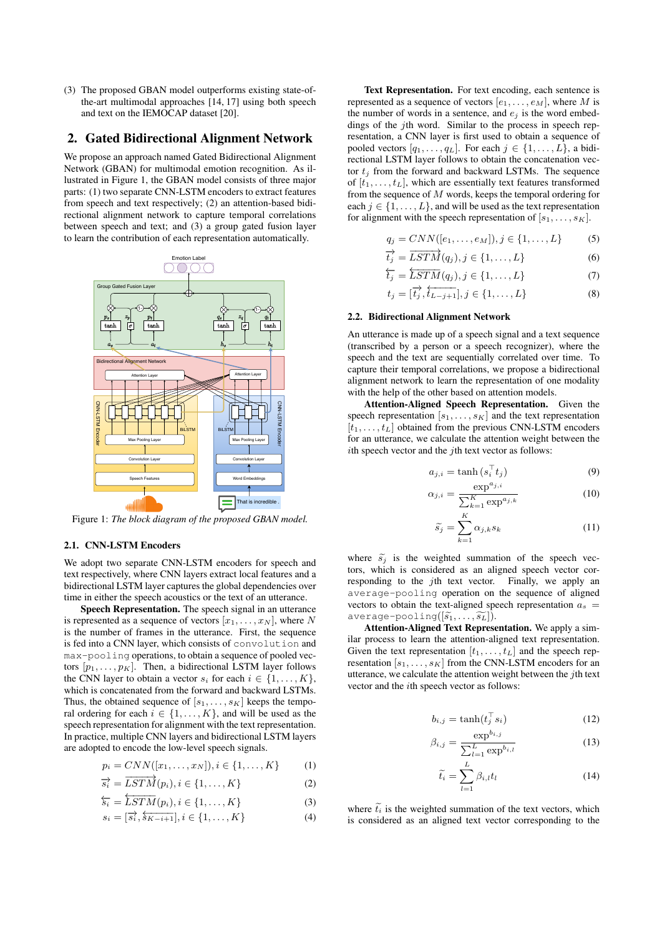(3) The proposed GBAN model outperforms existing state-ofthe-art multimodal approaches [14, 17] using both speech and text on the IEMOCAP dataset [20].

### 2. Gated Bidirectional Alignment Network

We propose an approach named Gated Bidirectional Alignment Network (GBAN) for multimodal emotion recognition. As illustrated in Figure 1, the GBAN model consists of three major parts: (1) two separate CNN-LSTM encoders to extract features from speech and text respectively; (2) an attention-based bidirectional alignment network to capture temporal correlations between speech and text; and (3) a group gated fusion layer to learn the contribution of each representation automatically.



Figure 1: *The block diagram of the proposed GBAN model.*

#### 2.1. CNN-LSTM Encoders

We adopt two separate CNN-LSTM encoders for speech and text respectively, where CNN layers extract local features and a bidirectional LSTM layer captures the global dependencies over time in either the speech acoustics or the text of an utterance.

Speech Representation. The speech signal in an utterance is represented as a sequence of vectors  $[x_1, \ldots, x_N]$ , where N is the number of frames in the utterance. First, the sequence is fed into a CNN layer, which consists of convolution and max-pooling operations, to obtain a sequence of pooled vectors  $[p_1, \ldots, p_K]$ . Then, a bidirectional LSTM layer follows the CNN layer to obtain a vector  $s_i$  for each  $i \in \{1, \ldots, K\}$ , which is concatenated from the forward and backward LSTMs. Thus, the obtained sequence of  $[s_1, \ldots, s_K]$  keeps the temporal ordering for each  $i \in \{1, \ldots, K\}$ , and will be used as the speech representation for alignment with the text representation. In practice, multiple CNN layers and bidirectional LSTM layers are adopted to encode the low-level speech signals.

$$
p_i = CNN([x_1, ..., x_N]), i \in \{1, ..., K\}
$$
 (1)

$$
\overrightarrow{s_i} = \overrightarrow{LSTM}(p_i), i \in \{1, ..., K\}
$$
 (2)

$$
\overleftarrow{s_i} = \overleftarrow{LSTM}(p_i), i \in \{1, \dots, K\}
$$
\n(3)

$$
s_i = [\overrightarrow{s_i}, \overleftarrow{s_{K-i+1}}, i \in \{1, \dots, K\} \tag{4}
$$

Text Representation. For text encoding, each sentence is represented as a sequence of vectors  $[e_1, \ldots, e_M]$ , where M is the number of words in a sentence, and  $e_j$  is the word embeddings of the j<sup>th</sup> word. Similar to the process in speech representation, a CNN layer is first used to obtain a sequence of pooled vectors  $[q_1, \ldots, q_L]$ . For each  $j \in \{1, \ldots, L\}$ , a bidirectional LSTM layer follows to obtain the concatenation vector  $t_i$  from the forward and backward LSTMs. The sequence of  $[t_1, \ldots, t_L]$ , which are essentially text features transformed from the sequence of M words, keeps the temporal ordering for each  $j \in \{1, \ldots, L\}$ , and will be used as the text representation for alignment with the speech representation of  $[s_1, \ldots, s_K]$ .

$$
q_j = CNN([e_1, ..., e_M]), j \in \{1, ..., L\}
$$
 (5)

$$
\overrightarrow{t_j} = \overrightarrow{LSTM}(q_j), j \in \{1, ..., L\}
$$
 (6)

$$
\overleftarrow{t_j} = \overleftarrow{LSTM}(q_j), j \in \{1, \dots, L\} \tag{7}
$$

$$
t_j = [\overrightarrow{t_j}, \overleftarrow{t_{L-j+1}}], j \in \{1, \dots, L\}
$$
 (8)

#### 2.2. Bidirectional Alignment Network

An utterance is made up of a speech signal and a text sequence (transcribed by a person or a speech recognizer), where the speech and the text are sequentially correlated over time. To capture their temporal correlations, we propose a bidirectional alignment network to learn the representation of one modality with the help of the other based on attention models.

Attention-Aligned Speech Representation. Given the speech representation  $[s_1, \ldots, s_K]$  and the text representation  $[t_1, \ldots, t_L]$  obtained from the previous CNN-LSTM encoders for an utterance, we calculate the attention weight between the ith speech vector and the jth text vector as follows:

$$
a_{j,i} = \tanh\left(s_i^{\top} t_j\right) \tag{9}
$$

$$
\alpha_{j,i} = \frac{\exp^{a_{j,i}}}{\sum_{k=1}^{K} \exp^{a_{j,k}}}
$$
(10)

$$
\widetilde{s_j} = \sum_{k=1}^{K} \alpha_{j,k} s_k \tag{11}
$$

where  $\tilde{s}_i$  is the weighted summation of the speech vectors, which is considered as an aligned speech vector corresponding to the jth text vector. Finally, we apply an average-pooling operation on the sequence of aligned vectors to obtain the text-aligned speech representation  $a_s$  =  $average-pooling([s_1, \ldots, \widetilde{s_L}]).$ 

Attention-Aligned Text Representation. We apply a similar process to learn the attention-aligned text representation. Given the text representation  $[t_1, \ldots, t_L]$  and the speech representation  $[s_1, \ldots, s_K]$  from the CNN-LSTM encoders for an utterance, we calculate the attention weight between the jth text vector and the ith speech vector as follows:

$$
b_{i,j} = \tanh(t_j^\top s_i) \tag{12}
$$

$$
\beta_{i,j} = \frac{\exp^{b_{i,j}}}{\sum_{l=1}^{L} \exp^{b_{i,l}}} \tag{13}
$$

$$
\tilde{t}_i = \sum_{l=1}^{L} \beta_{i,l} t_l \tag{14}
$$

where  $\tilde{t}_i$  is the weighted summation of the text vectors, which is considered as an aligned text vector corresponding to the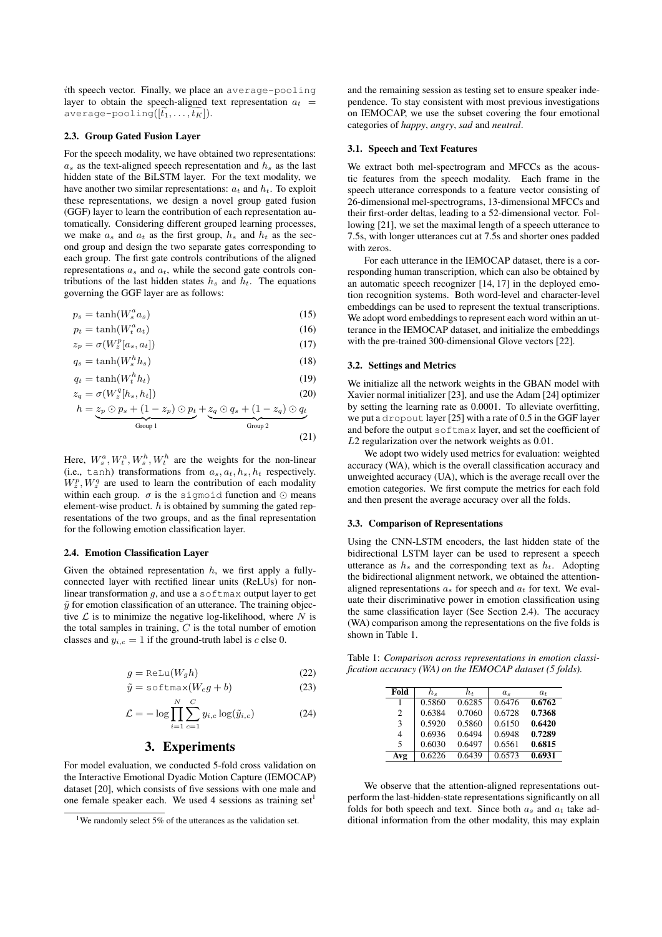ith speech vector. Finally, we place an average-pooling layer to obtain the speech-aligned text representation  $a_t$  = average-pooling( $[t_1, \ldots, t_K]$ ).

#### 2.3. Group Gated Fusion Layer

For the speech modality, we have obtained two representations:  $a<sub>s</sub>$  as the text-aligned speech representation and  $h<sub>s</sub>$  as the last hidden state of the BiLSTM layer. For the text modality, we have another two similar representations:  $a_t$  and  $h_t$ . To exploit these representations, we design a novel group gated fusion (GGF) layer to learn the contribution of each representation automatically. Considering different grouped learning processes, we make  $a_s$  and  $a_t$  as the first group,  $h_s$  and  $h_t$  as the second group and design the two separate gates corresponding to each group. The first gate controls contributions of the aligned representations  $a_s$  and  $a_t$ , while the second gate controls contributions of the last hidden states  $h_s$  and  $h_t$ . The equations governing the GGF layer are as follows:

$$
p_s = \tanh(W_s^a a_s) \tag{15}
$$

$$
p_t = \tanh(W_t^a a_t) \tag{16}
$$

$$
z_p = \sigma(W_z^p[a_s, a_t])
$$
\n
$$
a = \tanh(W^h b)
$$
\n(18)

$$
q_s = \tanh(W_s^h h_s) \tag{18}
$$

$$
q_t = \tanh(W_t^n h_t) \tag{19}
$$

$$
z_q = \sigma(W_z^q[h_s, h_t])
$$
\n(20)

$$
h = z_p \odot p_s + (1 - z_p) \odot p_t + z_q \odot q_s + (1 - z_q) \odot q_t
$$
  
Group 1

Here, 
$$
W_s^a
$$
,  $W_t^a$ ,  $W_s^h$ ,  $W_t^h$  are the weights for the non-linear (i.e., tanh) transformations from  $a_s$ ,  $a_t$ ,  $h_s$ ,  $h_t$  respectively.

 $W_z^p$ ,  $W_z^q$  are used to learn the contribution of each modality within each group.  $\sigma$  is the sigmoid function and  $\odot$  means element-wise product.  $h$  is obtained by summing the gated representations of the two groups, and as the final representation for the following emotion classification layer.

### 2.4. Emotion Classification Layer

Given the obtained representation  $h$ , we first apply a fullyconnected layer with rectified linear units (ReLUs) for nonlinear transformation  $q$ , and use a softmax output layer to get  $\tilde{y}$  for emotion classification of an utterance. The training objective  $\mathcal L$  is to minimize the negative log-likelihood, where  $N$  is the total samples in training,  $C$  is the total number of emotion classes and  $y_{i,c} = 1$  if the ground-truth label is c else 0.

$$
g = \text{ReLU}(W_g h) \tag{22}
$$

$$
\tilde{y} = \text{softmax}(W_e g + b) \tag{23}
$$

$$
\mathcal{L} = -\log \prod_{i=1}^{N} \sum_{c=1}^{C} y_{i,c} \log(\tilde{y}_{i,c})
$$
 (24)

## 3. Experiments

For model evaluation, we conducted 5-fold cross validation on the Interactive Emotional Dyadic Motion Capture (IEMOCAP) dataset [20], which consists of five sessions with one male and one female speaker each. We used 4 sessions as training set<sup>1</sup>

and the remaining session as testing set to ensure speaker independence. To stay consistent with most previous investigations on IEMOCAP, we use the subset covering the four emotional categories of *happy*, *angry*, *sad* and *neutral*.

#### 3.1. Speech and Text Features

We extract both mel-spectrogram and MFCCs as the acoustic features from the speech modality. Each frame in the speech utterance corresponds to a feature vector consisting of 26-dimensional mel-spectrograms, 13-dimensional MFCCs and their first-order deltas, leading to a 52-dimensional vector. Following [21], we set the maximal length of a speech utterance to 7.5s, with longer utterances cut at 7.5s and shorter ones padded with zeros.

For each utterance in the IEMOCAP dataset, there is a corresponding human transcription, which can also be obtained by an automatic speech recognizer [14, 17] in the deployed emotion recognition systems. Both word-level and character-level embeddings can be used to represent the textual transcriptions. We adopt word embeddings to represent each word within an utterance in the IEMOCAP dataset, and initialize the embeddings with the pre-trained 300-dimensional Glove vectors [22].

#### 3.2. Settings and Metrics

We initialize all the network weights in the GBAN model with Xavier normal initializer [23], and use the Adam [24] optimizer by setting the learning rate as 0.0001. To alleviate overfitting, we put a dropout layer [25] with a rate of 0.5 in the GGF layer and before the output softmax layer, and set the coefficient of L2 regularization over the network weights as 0.01.

We adopt two widely used metrics for evaluation: weighted accuracy (WA), which is the overall classification accuracy and unweighted accuracy (UA), which is the average recall over the emotion categories. We first compute the metrics for each fold and then present the average accuracy over all the folds.

#### 3.3. Comparison of Representations

Using the CNN-LSTM encoders, the last hidden state of the bidirectional LSTM layer can be used to represent a speech utterance as  $h_s$  and the corresponding text as  $h_t$ . Adopting the bidirectional alignment network, we obtained the attentionaligned representations  $a_s$  for speech and  $a_t$  for text. We evaluate their discriminative power in emotion classification using the same classification layer (See Section 2.4). The accuracy (WA) comparison among the representations on the five folds is shown in Table 1.

Table 1: *Comparison across representations in emotion classification accuracy (WA) on the IEMOCAP dataset (5 folds).*

| Fold                     | h.     | $h_t$  | $a_{\rm s}$ | $a_{t}$ |
|--------------------------|--------|--------|-------------|---------|
| 1                        | 0.5860 | 0.6285 | 0.6476      | 0.6762  |
| $\overline{c}$           | 0.6384 | 0.7060 | 0.6728      | 0.7368  |
| 3                        | 0.5920 | 0.5860 | 0.6150      | 0.6420  |
| 4                        | 0.6936 | 0.6494 | 0.6948      | 0.7289  |
| $\overline{\phantom{0}}$ | 0.6030 | 0.6497 | 0.6561      | 0.6815  |
| Avg                      | 0.6226 | 0.6439 | 0.6573      | 0.6931  |

We observe that the attention-aligned representations outperform the last-hidden-state representations significantly on all folds for both speech and text. Since both  $a_s$  and  $a_t$  take additional information from the other modality, this may explain

<sup>&</sup>lt;sup>1</sup>We randomly select 5% of the utterances as the validation set.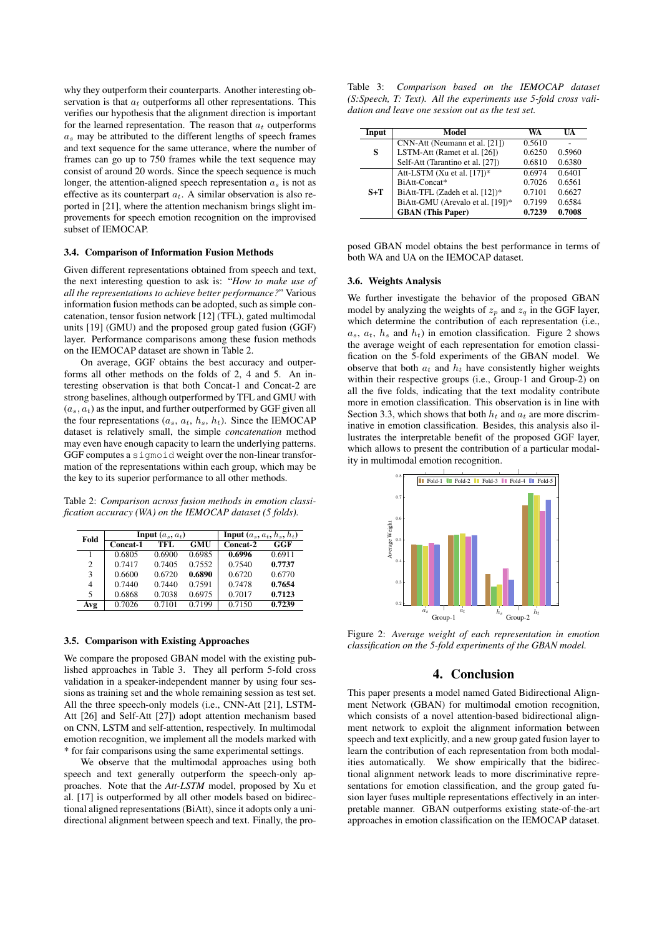why they outperform their counterparts. Another interesting observation is that  $a_t$  outperforms all other representations. This verifies our hypothesis that the alignment direction is important for the learned representation. The reason that  $a_t$  outperforms  $a_s$  may be attributed to the different lengths of speech frames and text sequence for the same utterance, where the number of frames can go up to 750 frames while the text sequence may consist of around 20 words. Since the speech sequence is much longer, the attention-aligned speech representation  $a_s$  is not as effective as its counterpart  $a_t$ . A similar observation is also reported in [21], where the attention mechanism brings slight improvements for speech emotion recognition on the improvised subset of IEMOCAP.

#### 3.4. Comparison of Information Fusion Methods

Given different representations obtained from speech and text, the next interesting question to ask is: "*How to make use of all the representations to achieve better performance?*" Various information fusion methods can be adopted, such as simple concatenation, tensor fusion network [12] (TFL), gated multimodal units [19] (GMU) and the proposed group gated fusion (GGF) layer. Performance comparisons among these fusion methods on the IEMOCAP dataset are shown in Table 2.

On average, GGF obtains the best accuracy and outperforms all other methods on the folds of 2, 4 and 5. An interesting observation is that both Concat-1 and Concat-2 are strong baselines, although outperformed by TFL and GMU with  $(a_s, a_t)$  as the input, and further outperformed by GGF given all the four representations  $(a_s, a_t, h_s, h_t)$ . Since the IEMOCAP dataset is relatively small, the simple *concatenation* method may even have enough capacity to learn the underlying patterns. GGF computes a sigmoid weight over the non-linear transformation of the representations within each group, which may be the key to its superior performance to all other methods.

Table 2: *Comparison across fusion methods in emotion classification accuracy (WA) on the IEMOCAP dataset (5 folds).*

| Fold |          | <b>Input</b> $(a_s, a_t)$ | <b>Input</b> $(a_s, a_t, h_s, h_t)$ |            |        |
|------|----------|---------------------------|-------------------------------------|------------|--------|
|      | Concat-1 | <b>TFL</b>                | <b>GMU</b>                          | $Concat-2$ | GGF    |
|      | 0.6805   | 0.6900                    | 0.6985                              | 0.6996     | 0.6911 |
| 2    | 0.7417   | 0.7405                    | 0.7552                              | 0.7540     | 0.7737 |
| 3    | 0.6600   | 0.6720                    | 0.6890                              | 0.6720     | 0.6770 |
| 4    | 0.7440   | 0.7440                    | 0.7591                              | 0.7478     | 0.7654 |
| 5    | 0.6868   | 0.7038                    | 0.6975                              | 0.7017     | 0.7123 |
| Avg  | 0.7026   | 0.7101                    | 0.7199                              | 0.7150     | 0.7239 |

#### 3.5. Comparison with Existing Approaches

We compare the proposed GBAN model with the existing published approaches in Table 3. They all perform 5-fold cross validation in a speaker-independent manner by using four sessions as training set and the whole remaining session as test set. All the three speech-only models (i.e., CNN-Att [21], LSTM-Att [26] and Self-Att [27]) adopt attention mechanism based on CNN, LSTM and self-attention, respectively. In multimodal emotion recognition, we implement all the models marked with \* for fair comparisons using the same experimental settings.

We observe that the multimodal approaches using both speech and text generally outperform the speech-only approaches. Note that the *Att-LSTM* model, proposed by Xu et al. [17] is outperformed by all other models based on bidirectional aligned representations (BiAtt), since it adopts only a unidirectional alignment between speech and text. Finally, the pro-

|  |                                                   |  |  | Table 3: Comparison based on the IEMOCAP dataset                    |  |
|--|---------------------------------------------------|--|--|---------------------------------------------------------------------|--|
|  |                                                   |  |  | $(S: Speech, T: Text)$ . All the experiments use 5-fold cross vali- |  |
|  | dation and leave one session out as the test set. |  |  |                                                                     |  |

| Input | Model                            | WA     | UA     |
|-------|----------------------------------|--------|--------|
| S     | CNN-Att (Neumann et al. [21])    | 0.5610 |        |
|       | LSTM-Att (Ramet et al. [26])     | 0.6250 | 0.5960 |
|       | Self-Att (Tarantino et al. [27]) | 0.6810 | 0.6380 |
| $S+T$ | Att-LSTM (Xu et al. [17])*       | 0.6974 | 0.6401 |
|       | BiAtt-Concat*                    | 0.7026 | 0.6561 |
|       | BiAtt-TFL (Zadeh et al. [12])*   | 0.7101 | 0.6627 |
|       | BiAtt-GMU (Arevalo et al. [19])* | 0.7199 | 0.6584 |
|       | <b>GBAN</b> (This Paper)         | 0.7239 | 0.7008 |

posed GBAN model obtains the best performance in terms of both WA and UA on the IEMOCAP dataset.

#### 3.6. Weights Analysis

We further investigate the behavior of the proposed GBAN model by analyzing the weights of  $z_p$  and  $z_q$  in the GGF layer, which determine the contribution of each representation (i.e.,  $a_s$ ,  $a_t$ ,  $h_s$  and  $h_t$ ) in emotion classification. Figure 2 shows the average weight of each representation for emotion classification on the 5-fold experiments of the GBAN model. We observe that both  $a_t$  and  $h_t$  have consistently higher weights within their respective groups (i.e., Group-1 and Group-2) on all the five folds, indicating that the text modality contribute more in emotion classification. This observation is in line with Section 3.3, which shows that both  $h_t$  and  $a_t$  are more discriminative in emotion classification. Besides, this analysis also illustrates the interpretable benefit of the proposed GGF layer, which allows to present the contribution of a particular modality in multimodal emotion recognition.



Figure 2: *Average weight of each representation in emotion classification on the 5-fold experiments of the GBAN model.*

# 4. Conclusion

This paper presents a model named Gated Bidirectional Alignment Network (GBAN) for multimodal emotion recognition, which consists of a novel attention-based bidirectional alignment network to exploit the alignment information between speech and text explicitly, and a new group gated fusion layer to learn the contribution of each representation from both modalities automatically. We show empirically that the bidirectional alignment network leads to more discriminative representations for emotion classification, and the group gated fusion layer fuses multiple representations effectively in an interpretable manner. GBAN outperforms existing state-of-the-art approaches in emotion classification on the IEMOCAP dataset.